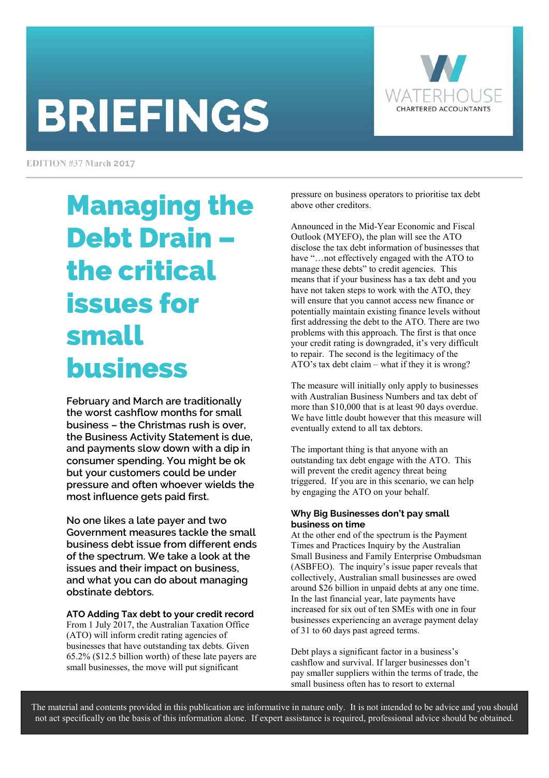# **BRIEFINGS**



EDITION #37 March 2017

## Managing the Debt Drain – the critical issues for small business

**February and March are traditionally the worst cashflow months for small business – the Christmas rush is over, the Business Activity Statement is due, and payments slow down with a dip in consumer spending. You might be ok but your customers could be under pressure and often whoever wields the most influence gets paid first.** 

**No one likes a late payer and two Government measures tackle the small business debt issue from different ends of the spectrum. We take a look at the issues and their impact on business, and what you can do about managing obstinate debtors.** 

**ATO Adding Tax debt to your credit record** 

From 1 July 2017, the Australian Taxation Office (ATO) will inform credit rating agencies of businesses that have outstanding tax debts. Given 65.2% (\$12.5 billion worth) of these late payers are small businesses, the move will put significant

pressure on business operators to prioritise tax debt above other creditors.

Announced in the Mid-Year Economic and Fiscal Outlook (MYEFO), the plan will see the ATO disclose the tax debt information of businesses that have "…not effectively engaged with the ATO to manage these debts" to credit agencies. This means that if your business has a tax debt and you have not taken steps to work with the ATO, they will ensure that you cannot access new finance or potentially maintain existing finance levels without first addressing the debt to the ATO. There are two problems with this approach. The first is that once your credit rating is downgraded, it's very difficult to repair. The second is the legitimacy of the ATO's tax debt claim – what if they it is wrong?

The measure will initially only apply to businesses with Australian Business Numbers and tax debt of more than \$10,000 that is at least 90 days overdue. We have little doubt however that this measure will eventually extend to all tax debtors.

The important thing is that anyone with an outstanding tax debt engage with the ATO. This will prevent the credit agency threat being triggered. If you are in this scenario, we can help by engaging the ATO on your behalf.

#### **Why Big Businesses don't pay small business on time**

At the other end of the spectrum is the Payment Times and Practices Inquiry by the Australian Small Business and Family Enterprise Ombudsman (ASBFEO). The inquiry's issue paper reveals that collectively, Australian small businesses are owed around \$26 billion in unpaid debts at any one time. In the last financial year, late payments have increased for six out of ten SMEs with one in four businesses experiencing an average payment delay of 31 to 60 days past agreed terms.

Debt plays a significant factor in a business's cashflow and survival. If larger businesses don't pay smaller suppliers within the terms of trade, the small business often has to resort to external

The material and contents provided in this publication are informative in nature only. It is not intended to be advice and you should not act specifically on the basis of this information alone. If expert assistance is required, professional advice should be obtained.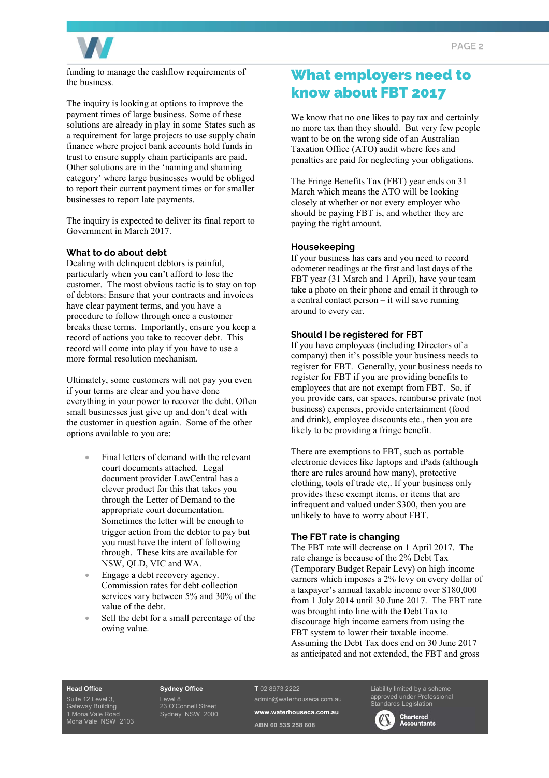

funding to manage the cashflow requirements of the business.

The inquiry is looking at options to improve the payment times of large business. Some of these solutions are already in play in some States such as a requirement for large projects to use supply chain finance where project bank accounts hold funds in trust to ensure supply chain participants are paid. Other solutions are in the 'naming and shaming category' where large businesses would be obliged to report their current payment times or for smaller businesses to report late payments.

The inquiry is expected to deliver its final report to Government in March 2017.

#### **What to do about debt**

Dealing with delinquent debtors is painful, particularly when you can't afford to lose the customer. The most obvious tactic is to stay on top of debtors: Ensure that your contracts and invoices have clear payment terms, and you have a procedure to follow through once a customer breaks these terms. Importantly, ensure you keep a record of actions you take to recover debt. This record will come into play if you have to use a more formal resolution mechanism.

Ultimately, some customers will not pay you even if your terms are clear and you have done everything in your power to recover the debt. Often small businesses just give up and don't deal with the customer in question again. Some of the other options available to you are:

- Final letters of demand with the relevant court documents attached. Legal document provider LawCentral has a clever product for this that takes you through the Letter of Demand to the appropriate court documentation. Sometimes the letter will be enough to trigger action from the debtor to pay but you must have the intent of following through. These kits are available for NSW, QLD, VIC and WA.
- Engage a debt recovery agency. Commission rates for debt collection services vary between 5% and 30% of the value of the debt.
- Sell the debt for a small percentage of the owing value.

#### What employers need to know about FBT 2017

We know that no one likes to pay tax and certainly no more tax than they should. But very few people want to be on the wrong side of an Australian Taxation Office (ATO) audit where fees and penalties are paid for neglecting your obligations.

The Fringe Benefits Tax (FBT) year ends on 31 March which means the ATO will be looking closely at whether or not every employer who should be paying FBT is, and whether they are paying the right amount.

#### **Housekeeping**

If your business has cars and you need to record odometer readings at the first and last days of the FBT year (31 March and 1 April), have your team take a photo on their phone and email it through to a central contact person – it will save running around to every car.

#### **Should I be registered for FBT**

If you have employees (including Directors of a company) then it's possible your business needs to register for FBT. Generally, your business needs to register for FBT if you are providing benefits to employees that are not exempt from FBT. So, if you provide cars, car spaces, reimburse private (not business) expenses, provide entertainment (food and drink), employee discounts etc., then you are likely to be providing a fringe benefit.

There are exemptions to FBT, such as portable electronic devices like laptops and iPads (although there are rules around how many), protective clothing, tools of trade etc,. If your business only provides these exempt items, or items that are infrequent and valued under \$300, then you are unlikely to have to worry about FBT.

#### **The FBT rate is changing**

The FBT rate will decrease on 1 April 2017. The rate change is because of the 2% Debt Tax (Temporary Budget Repair Levy) on high income earners which imposes a 2% levy on every dollar of a taxpayer's annual taxable income over \$180,000 from 1 July 2014 until 30 June 2017. The FBT rate was brought into line with the Debt Tax to discourage high income earners from using the FBT system to lower their taxable income. Assuming the Debt Tax does end on 30 June 2017 as anticipated and not extended, the FBT and gross

#### **Head Office**

Suite 12 Level 3, Gateway Building 1 Mona Vale Road Mona Vale NSW 2103 **Sydney Office**  Level 8 23 O'Connell Street Sydney NSW 2000 **T** 02 8973 2222

admin@waterhouseca.com.au **www.waterhouseca.com.au ABN 60 535 258 608** 

Liability limited by a scheme approved under Professional dards Legislation

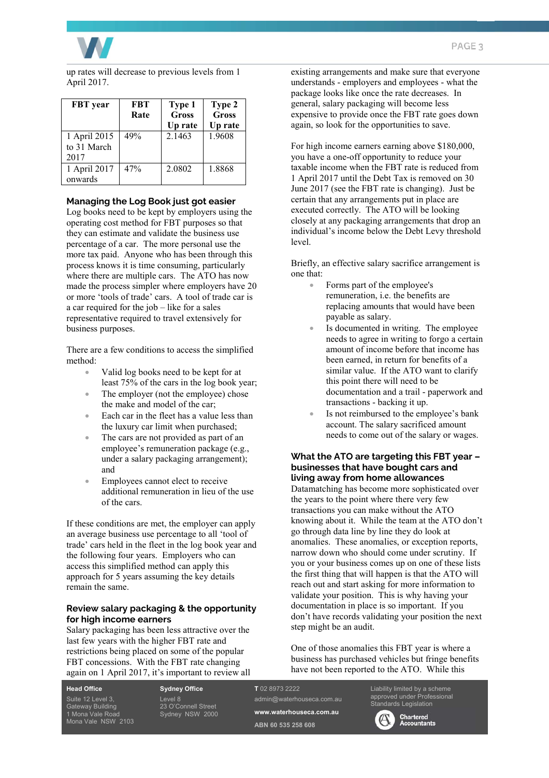

up rates will decrease to previous levels from 1 April 2017.

| <b>FBT</b> year                     | <b>FBT</b><br>Rate | Type 1<br>Gross<br>Up rate | Type 2<br><b>Gross</b><br>Up rate |
|-------------------------------------|--------------------|----------------------------|-----------------------------------|
| 1 April 2015<br>to 31 March<br>2017 | 49%                | 2.1463                     | 1.9608                            |
| 1 April 2017<br>onwards             | 47%                | 2.0802                     | 1.8868                            |

#### **Managing the Log Book just got easier**

Log books need to be kept by employers using the operating cost method for FBT purposes so that they can estimate and validate the business use percentage of a car. The more personal use the more tax paid. Anyone who has been through this process knows it is time consuming, particularly where there are multiple cars. The ATO has now made the process simpler where employers have 20 or more 'tools of trade' cars. A tool of trade car is a car required for the job – like for a sales representative required to travel extensively for business purposes.

There are a few conditions to access the simplified method:

- Valid log books need to be kept for at least 75% of the cars in the log book year;
- The employer (not the employee) chose the make and model of the car;
- Each car in the fleet has a value less than the luxury car limit when purchased;
- The cars are not provided as part of an employee's remuneration package (e.g., under a salary packaging arrangement); and
- Employees cannot elect to receive additional remuneration in lieu of the use of the cars.

If these conditions are met, the employer can apply an average business use percentage to all 'tool of trade' cars held in the fleet in the log book year and the following four years. Employers who can access this simplified method can apply this approach for 5 years assuming the key details remain the same.

#### **Review salary packaging & the opportunity for high income earners**

Salary packaging has been less attractive over the last few years with the higher FBT rate and restrictions being placed on some of the popular FBT concessions. With the FBT rate changing again on 1 April 2017, it's important to review all existing arrangements and make sure that everyone understands - employers and employees - what the package looks like once the rate decreases. In general, salary packaging will become less expensive to provide once the FBT rate goes down again, so look for the opportunities to save.

For high income earners earning above \$180,000, you have a one-off opportunity to reduce your taxable income when the FBT rate is reduced from 1 April 2017 until the Debt Tax is removed on 30 June 2017 (see the FBT rate is changing). Just be certain that any arrangements put in place are executed correctly. The ATO will be looking closely at any packaging arrangements that drop an individual's income below the Debt Levy threshold level.

Briefly, an effective salary sacrifice arrangement is one that:

- Forms part of the employee's remuneration, i.e. the benefits are replacing amounts that would have been payable as salary.
- Is documented in writing. The employee needs to agree in writing to forgo a certain amount of income before that income has been earned, in return for benefits of a similar value. If the ATO want to clarify this point there will need to be documentation and a trail - paperwork and transactions - backing it up.
- Is not reimbursed to the employee's bank account. The salary sacrificed amount needs to come out of the salary or wages.

#### **What the ATO are targeting this FBT year – businesses that have bought cars and living away from home allowances**

Datamatching has become more sophisticated over the years to the point where there very few transactions you can make without the ATO knowing about it. While the team at the ATO don't go through data line by line they do look at anomalies. These anomalies, or exception reports, narrow down who should come under scrutiny. If you or your business comes up on one of these lists the first thing that will happen is that the ATO will reach out and start asking for more information to validate your position. This is why having your documentation in place is so important. If you don't have records validating your position the next step might be an audit.

One of those anomalies this FBT year is where a business has purchased vehicles but fringe benefits have not been reported to the ATO. While this

**Head Office**  Suite 12 Level 3, Gateway Building 1 Mona Vale Road Mona Vale NSW 2103 **Sydney Office**  Level 8 23 O'Connell Street Sydney NSW 2000

#### **T** 02 8973 2222

**ABN 60 535 258 608** 

admin@waterhouseca.com.au **www.waterhouseca.com.au** 

Standards Legislation



Liability limited by a scheme approved under Professional